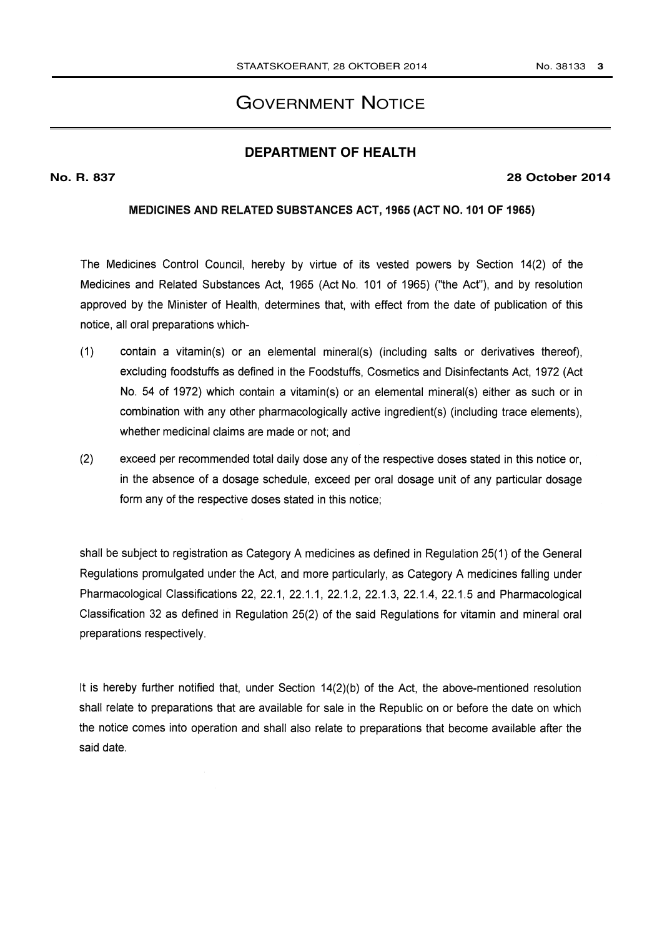# **GOVERNMENT NOTICE**

# **DEPARTMENT OF HEALTH**

#### No. R. 837

#### **28 October 2014**

## MEDICINES AND RELATED SUBSTANCES ACT, 1965 (ACT NO. 101 OF 1965)

The Medicines Control Council, hereby by virtue of its vested powers by Section 14(2) of the Medicines and Related Substances Act, 1965 (Act No. 101 of 1965) ("the Act"), and by resolution approved by the Minister of Health, determines that, with effect from the date of publication of this notice, all oral preparations which-

- $(1)$ contain a vitamin(s) or an elemental mineral(s) (including salts or derivatives thereof). excluding foodstuffs as defined in the Foodstuffs, Cosmetics and Disinfectants Act, 1972 (Act No. 54 of 1972) which contain a vitamin(s) or an elemental mineral(s) either as such or in combination with any other pharmacologically active ingredient(s) (including trace elements). whether medicinal claims are made or not; and
- $(2)$ exceed per recommended total daily dose any of the respective doses stated in this notice or, in the absence of a dosage schedule, exceed per oral dosage unit of any particular dosage form any of the respective doses stated in this notice;

shall be subject to registration as Category A medicines as defined in Regulation 25(1) of the General Regulations promulgated under the Act, and more particularly, as Category A medicines falling under Pharmacological Classifications 22, 22.1, 22.1.1, 22.1.2, 22.1.3, 22.1.4, 22.1.5 and Pharmacological Classification 32 as defined in Regulation 25(2) of the said Regulations for vitamin and mineral oral preparations respectively.

It is hereby further notified that, under Section 14(2)(b) of the Act, the above-mentioned resolution shall relate to preparations that are available for sale in the Republic on or before the date on which the notice comes into operation and shall also relate to preparations that become available after the said date.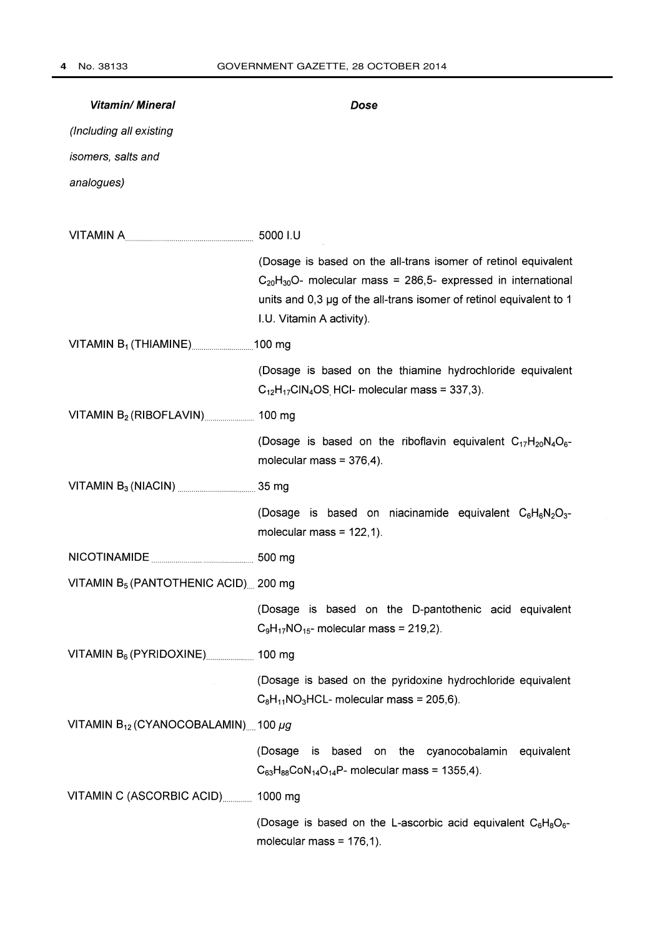| <b>Vitamin/ Mineral</b>                                                                                                                                                                                                                                                    | Dose                                                                                                                                                                                                                                       |  |
|----------------------------------------------------------------------------------------------------------------------------------------------------------------------------------------------------------------------------------------------------------------------------|--------------------------------------------------------------------------------------------------------------------------------------------------------------------------------------------------------------------------------------------|--|
| (Including all existing                                                                                                                                                                                                                                                    |                                                                                                                                                                                                                                            |  |
| isomers, salts and                                                                                                                                                                                                                                                         |                                                                                                                                                                                                                                            |  |
| analogues)                                                                                                                                                                                                                                                                 |                                                                                                                                                                                                                                            |  |
|                                                                                                                                                                                                                                                                            |                                                                                                                                                                                                                                            |  |
|                                                                                                                                                                                                                                                                            | 5000 I.U                                                                                                                                                                                                                                   |  |
|                                                                                                                                                                                                                                                                            | (Dosage is based on the all-trans isomer of retinol equivalent<br>$C_{20}H_{30}O$ - molecular mass = 286,5- expressed in international<br>units and 0,3 µg of the all-trans isomer of retinol equivalent to 1<br>I.U. Vitamin A activity). |  |
|                                                                                                                                                                                                                                                                            |                                                                                                                                                                                                                                            |  |
|                                                                                                                                                                                                                                                                            | (Dosage is based on the thiamine hydrochloride equivalent<br>$C_{12}H_{17}CIN_4OS$ HCI- molecular mass = 337,3).                                                                                                                           |  |
| VITAMIN $B_2$ (RIBOFLAVIN) 400 mg                                                                                                                                                                                                                                          |                                                                                                                                                                                                                                            |  |
|                                                                                                                                                                                                                                                                            | (Dosage is based on the riboflavin equivalent $C_{17}H_{20}N_4O_6$ -<br>molecular mass = $376,4$ ).                                                                                                                                        |  |
| VITAMIN $B_3$ (NIACIN) $\frac{1}{2}$ (NIACIN) $\frac{1}{2}$ (NIACIN) $\frac{1}{2}$ (NIACIN) $\frac{1}{2}$ (NIACIN) $\frac{1}{2}$ (NIACIN) $\frac{1}{2}$ (NIACIN) $\frac{1}{2}$ (NIACIN) $\frac{1}{2}$ (NIACIN) $\frac{1}{2}$ (NIACIN) $\frac{1}{2}$ (NIACIN) $\frac{1}{2}$ |                                                                                                                                                                                                                                            |  |
|                                                                                                                                                                                                                                                                            | (Dosage is based on niacinamide equivalent $C_6H_6N_2O_3$ -<br>molecular mass = $122,1$ ).                                                                                                                                                 |  |
|                                                                                                                                                                                                                                                                            |                                                                                                                                                                                                                                            |  |
| VITAMIN $B_5$ (PANTOTHENIC ACID) 200 mg                                                                                                                                                                                                                                    |                                                                                                                                                                                                                                            |  |
|                                                                                                                                                                                                                                                                            | (Dosage is based on the D-pantothenic acid equivalent<br>$C_9H_{17}NO_{15}$ - molecular mass = 219,2).                                                                                                                                     |  |
| VITAMIN $B_6$ (PYRIDOXINE) $\ldots$ 100 mg                                                                                                                                                                                                                                 |                                                                                                                                                                                                                                            |  |
|                                                                                                                                                                                                                                                                            | (Dosage is based on the pyridoxine hydrochloride equivalent<br>$C_8H_{11}NO_3HCL$ - molecular mass = 205,6).                                                                                                                               |  |
| VITAMIN $B_{12}$ (CYANOCOBALAMIN) 100 µg                                                                                                                                                                                                                                   |                                                                                                                                                                                                                                            |  |
|                                                                                                                                                                                                                                                                            | (Dosage is<br>based on the cyanocobalamin<br>equivalent<br>$C_{63}H_{88}CoN_{14}O_{14}P$ - molecular mass = 1355,4).                                                                                                                       |  |
| VITAMIN C (ASCORBIC ACID) 1000 mg                                                                                                                                                                                                                                          |                                                                                                                                                                                                                                            |  |
|                                                                                                                                                                                                                                                                            | (Dosage is based on the L-ascorbic acid equivalent $C_6H_8O_6$ -<br>molecular mass = $176,1$ ).                                                                                                                                            |  |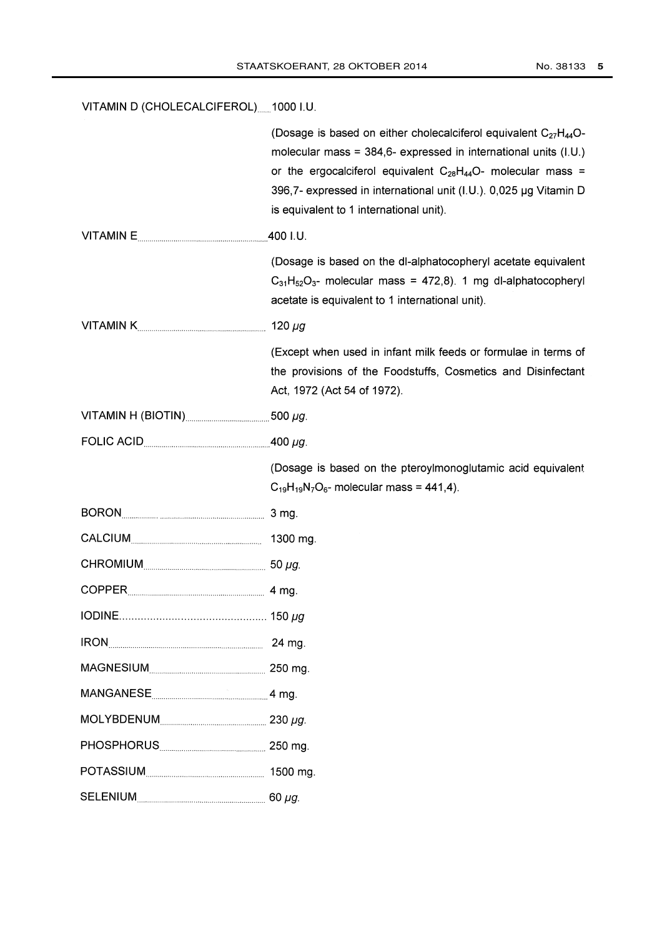VITAMIN D (CHOLECALCIFEROL)......1000 I.U.

|                                  | (Dosage is based on either cholecalciferol equivalent $C_{27}H_{44}O$ -<br>molecular mass = $384,6$ - expressed in international units (I.U.)<br>or the ergocalciferol equivalent $C_{28}H_{44}O$ - molecular mass =<br>396,7- expressed in international unit (I.U.). 0,025 µg Vitamin D<br>is equivalent to 1 international unit). |
|----------------------------------|--------------------------------------------------------------------------------------------------------------------------------------------------------------------------------------------------------------------------------------------------------------------------------------------------------------------------------------|
| VITAMIN E                        | 400 I.U.                                                                                                                                                                                                                                                                                                                             |
|                                  | (Dosage is based on the dl-alphatocopheryl acetate equivalent<br>$C_{31}H_{52}O_{3}$ - molecular mass = 472,8). 1 mg dl-alphatocopheryl<br>acetate is equivalent to 1 international unit).                                                                                                                                           |
|                                  | 120 $\mu$ g                                                                                                                                                                                                                                                                                                                          |
|                                  | (Except when used in infant milk feeds or formulae in terms of<br>the provisions of the Foodstuffs, Cosmetics and Disinfectant<br>Act, 1972 (Act 54 of 1972).                                                                                                                                                                        |
| VITAMIN H (BIOTIN) 300 $\mu$ g.  |                                                                                                                                                                                                                                                                                                                                      |
| FOLIC ACID $\frac{1}{2}$ 400 µg. |                                                                                                                                                                                                                                                                                                                                      |
|                                  | (Dosage is based on the pteroylmonoglutamic acid equivalent<br>$C_{19}H_{19}N_7O_6$ - molecular mass = 441,4).                                                                                                                                                                                                                       |
| BORON 3 mg.                      |                                                                                                                                                                                                                                                                                                                                      |
|                                  | 1300 mg.                                                                                                                                                                                                                                                                                                                             |
|                                  |                                                                                                                                                                                                                                                                                                                                      |
|                                  |                                                                                                                                                                                                                                                                                                                                      |
|                                  |                                                                                                                                                                                                                                                                                                                                      |
|                                  | 24 mg.                                                                                                                                                                                                                                                                                                                               |
|                                  | 250 mg.                                                                                                                                                                                                                                                                                                                              |
| MANGANESE 14 mg.                 |                                                                                                                                                                                                                                                                                                                                      |
|                                  |                                                                                                                                                                                                                                                                                                                                      |
|                                  |                                                                                                                                                                                                                                                                                                                                      |
|                                  |                                                                                                                                                                                                                                                                                                                                      |
| <b>SELENIUM</b>                  | $60 \mu g$ .                                                                                                                                                                                                                                                                                                                         |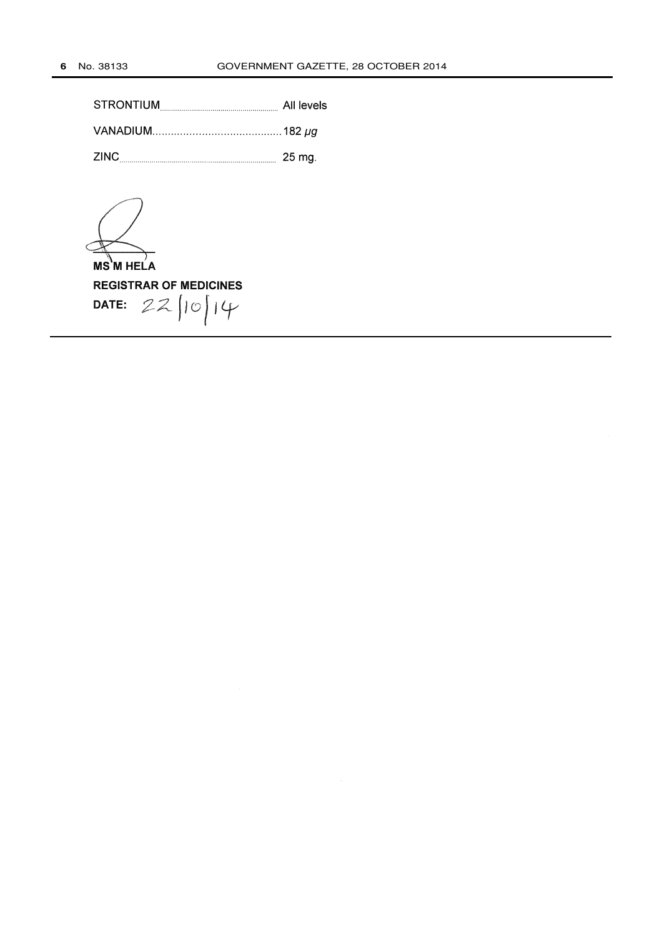| STRONTIUM | All levels |
|-----------|------------|
|           |            |
| ZINC.     | -25 ma.    |

**MS M HELA REGISTRAR OF MEDICINES**  $22/10/14$ DATE: